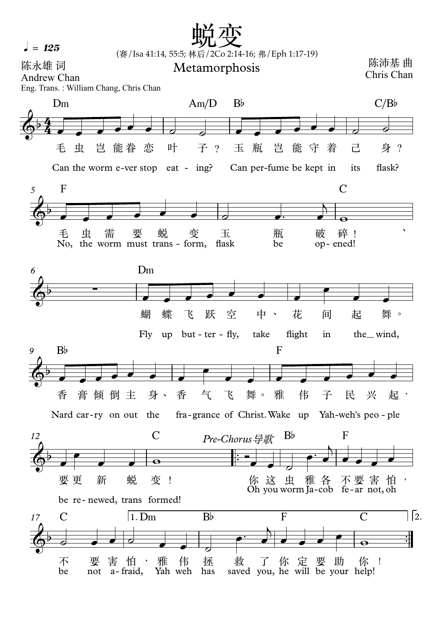$l = 125$ 

## (赛/Isa 41:14, 55:5; 林后/2Co 2:14-16; 弗/Eph 1:17-19) 蜕变 医心包的 医心包

陈永雄 词 Andrew Chan Metamorphosis

்கள்⊬<del>∡≤</del> щ<br>Chris Chan